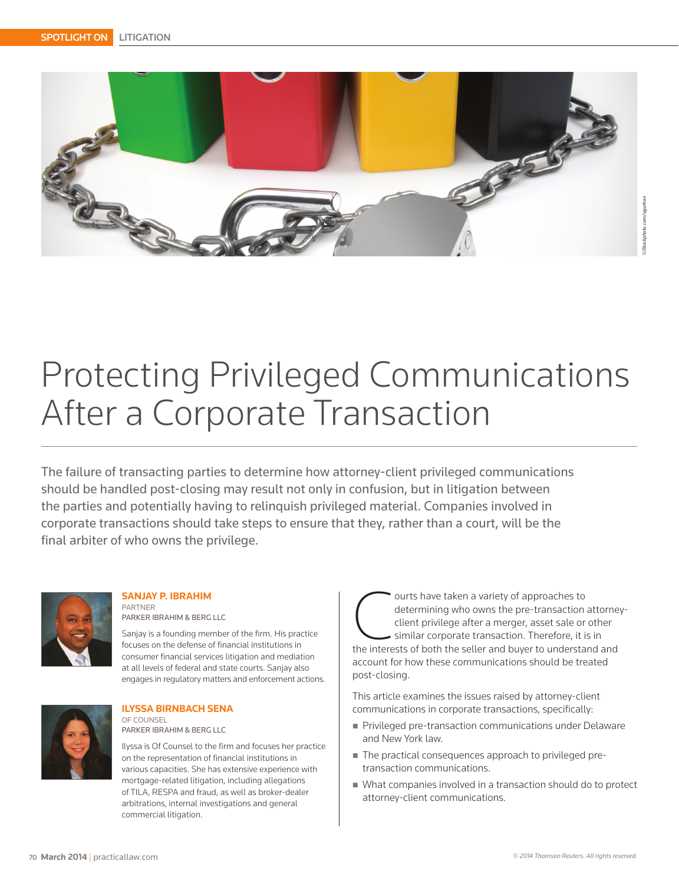

*©iStockphoto.com/ugurhan*

# Protecting Privileged Communications After a Corporate Transaction

The failure of transacting parties to determine how attorney-client privileged communications should be handled post-closing may result not only in confusion, but in litigation between the parties and potentially having to relinquish privileged material. Companies involved in corporate transactions should take steps to ensure that they, rather than a court, will be the final arbiter of who owns the privilege.



# **SANJAY P. IBRAHIM**

PARTNER PARKER IBRAHIM & BERG LLC

Sanjay is a founding member of the firm. His practice focuses on the defense of financial institutions in consumer financial services litigation and mediation at all levels of federal and state courts. Sanjay also engages in regulatory matters and enforcement actions.



#### **ILYSSA BIRNBACH SENA**  OF COUNSEL PARKER IBRAHIM & BERG LLC

Ilyssa is Of Counsel to the firm and focuses her practice on the representation of financial institutions in various capacities. She has extensive experience with mortgage-related litigation, including allegations of TILA, RESPA and fraud, as well as broker-dealer arbitrations, internal investigations and general commercial litigation.

Ourts have taken a variety of approaches to<br>
determining who owns the pre-transaction attorne<br>
client privilege after a merger, asset sale or other<br>
similar corporate transaction. Therefore, it is in<br>
the interests of both determining who owns the pre-transaction attorneyclient privilege after a merger, asset sale or other similar corporate transaction. Therefore, it is in account for how these communications should be treated post-closing.

This article examines the issues raised by attorney-client communications in corporate transactions, specifically:

- **Privileged pre-transaction communications under Delaware** and New York law.
- The practical consequences approach to privileged pretransaction communications.
- What companies involved in a transaction should do to protect attorney-client communications.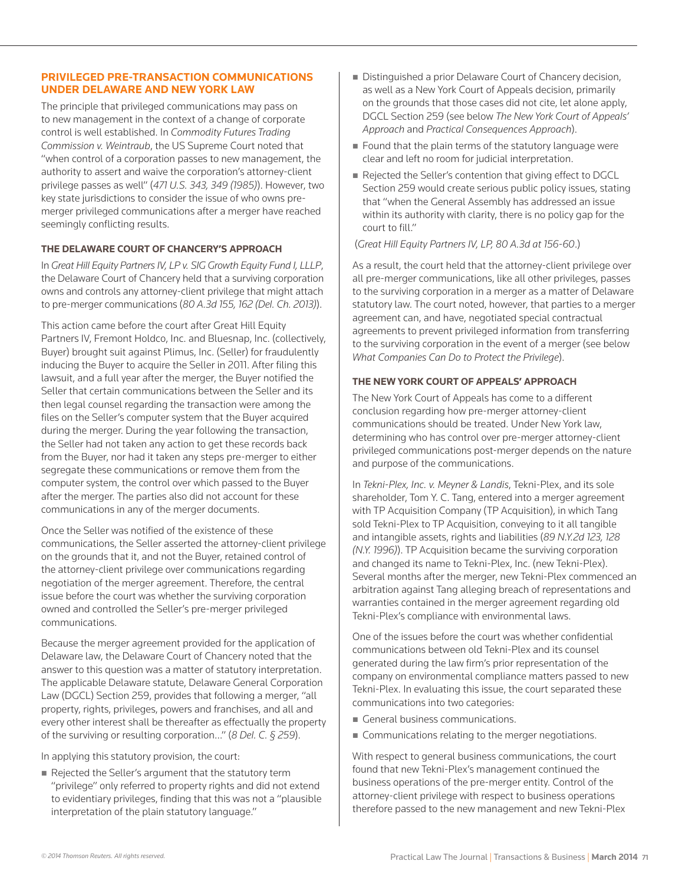### **PRIVILEGED PRE-TRANSACTION COMMUNICATIONS UNDER DELAWARE AND NEW YORK LAW**

The principle that privileged communications may pass on to new management in the context of a change of corporate control is well established. In *Commodity Futures Trading Commission v. Weintraub*, the US Supreme Court noted that "when control of a corporation passes to new management, the authority to assert and waive the corporation's attorney-client privilege passes as well" (*471 U.S. 343, 349 (1985)*). However, two key state jurisdictions to consider the issue of who owns premerger privileged communications after a merger have reached seemingly conflicting results.

#### **THE DELAWARE COURT OF CHANCERY'S APPROACH**

In *Great Hill Equity Partners IV, LP v. SIG Growth Equity Fund I, LLLP*, the Delaware Court of Chancery held that a surviving corporation owns and controls any attorney-client privilege that might attach to pre-merger communications (*80 A.3d 155, 162 (Del. Ch. 2013)*).

This action came before the court after Great Hill Equity Partners IV, Fremont Holdco, Inc. and Bluesnap, Inc. (collectively, Buyer) brought suit against Plimus, Inc. (Seller) for fraudulently inducing the Buyer to acquire the Seller in 2011. After filing this lawsuit, and a full year after the merger, the Buyer notified the Seller that certain communications between the Seller and its then legal counsel regarding the transaction were among the files on the Seller's computer system that the Buyer acquired during the merger. During the year following the transaction, the Seller had not taken any action to get these records back from the Buyer, nor had it taken any steps pre-merger to either segregate these communications or remove them from the computer system, the control over which passed to the Buyer after the merger. The parties also did not account for these communications in any of the merger documents.

Once the Seller was notified of the existence of these communications, the Seller asserted the attorney-client privilege on the grounds that it, and not the Buyer, retained control of the attorney-client privilege over communications regarding negotiation of the merger agreement. Therefore, the central issue before the court was whether the surviving corporation owned and controlled the Seller's pre-merger privileged communications.

Because the merger agreement provided for the application of Delaware law, the Delaware Court of Chancery noted that the answer to this question was a matter of statutory interpretation. The applicable Delaware statute, Delaware General Corporation Law (DGCL) Section 259, provides that following a merger, "all property, rights, privileges, powers and franchises, and all and every other interest shall be thereafter as effectually the property of the surviving or resulting corporation…" (*8 Del. C. § 259*).

In applying this statutory provision, the court:

Rejected the Seller's argument that the statutory term "privilege" only referred to property rights and did not extend to evidentiary privileges, finding that this was not a "plausible interpretation of the plain statutory language."

- Distinguished a prior Delaware Court of Chancery decision, as well as a New York Court of Appeals decision, primarily on the grounds that those cases did not cite, let alone apply, DGCL Section 259 (see below *The New York Court of Appeals' Approach* and *Practical Consequences Approach*).
- **Found that the plain terms of the statutory language were** clear and left no room for judicial interpretation.
- Rejected the Seller's contention that giving effect to DGCL Section 259 would create serious public policy issues, stating that "when the General Assembly has addressed an issue within its authority with clarity, there is no policy gap for the court to fill."

(*Great Hill Equity Partners IV, LP, 80 A.3d at 156-60*.)

As a result, the court held that the attorney-client privilege over all pre-merger communications, like all other privileges, passes to the surviving corporation in a merger as a matter of Delaware statutory law. The court noted, however, that parties to a merger agreement can, and have, negotiated special contractual agreements to prevent privileged information from transferring to the surviving corporation in the event of a merger (see below *What Companies Can Do to Protect the Privilege*).

### **THE NEW YORK COURT OF APPEALS' APPROACH**

The New York Court of Appeals has come to a different conclusion regarding how pre-merger attorney-client communications should be treated. Under New York law, determining who has control over pre-merger attorney-client privileged communications post-merger depends on the nature and purpose of the communications.

In *Tekni-Plex, Inc. v. Meyner & Landis*, Tekni-Plex, and its sole shareholder, Tom Y. C. Tang, entered into a merger agreement with TP Acquisition Company (TP Acquisition), in which Tang sold Tekni-Plex to TP Acquisition, conveying to it all tangible and intangible assets, rights and liabilities (*89 N.Y.2d 123, 128 (N.Y. 1996)*). TP Acquisition became the surviving corporation and changed its name to Tekni-Plex, Inc. (new Tekni-Plex). Several months after the merger, new Tekni-Plex commenced an arbitration against Tang alleging breach of representations and warranties contained in the merger agreement regarding old Tekni-Plex's compliance with environmental laws.

One of the issues before the court was whether confidential communications between old Tekni-Plex and its counsel generated during the law firm's prior representation of the company on environmental compliance matters passed to new Tekni-Plex. In evaluating this issue, the court separated these communications into two categories:

- General business communications.
- **Communications relating to the merger negotiations.**

With respect to general business communications, the court found that new Tekni-Plex's management continued the business operations of the pre-merger entity. Control of the attorney-client privilege with respect to business operations therefore passed to the new management and new Tekni-Plex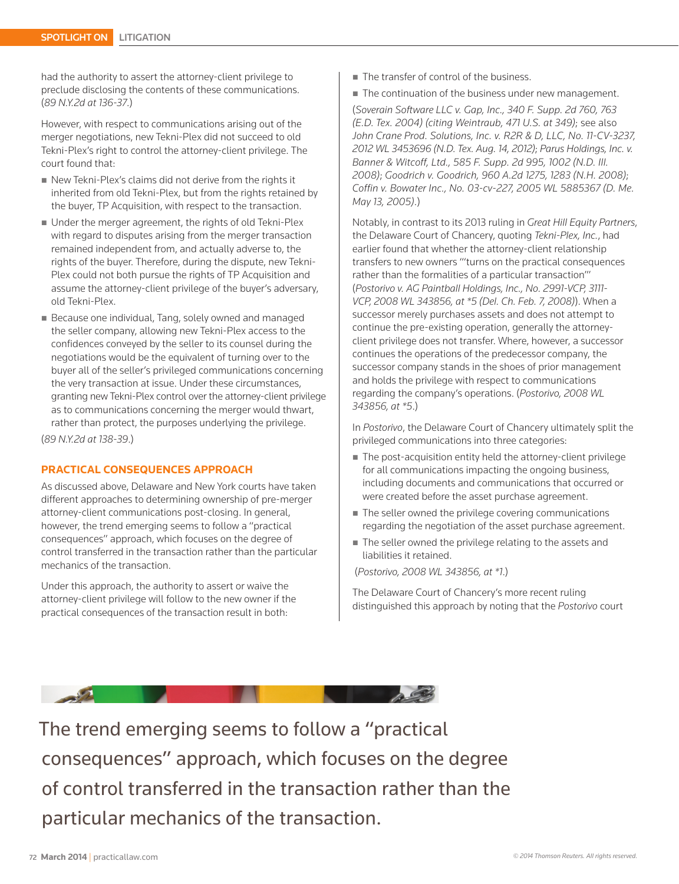had the authority to assert the attorney-client privilege to preclude disclosing the contents of these communications. (*89 N.Y.2d at 136-37*.)

However, with respect to communications arising out of the merger negotiations, new Tekni-Plex did not succeed to old Tekni-Plex's right to control the attorney-client privilege. The court found that:

- New Tekni-Plex's claims did not derive from the rights it inherited from old Tekni-Plex, but from the rights retained by the buyer, TP Acquisition, with respect to the transaction.
- Under the merger agreement, the rights of old Tekni-Plex with regard to disputes arising from the merger transaction remained independent from, and actually adverse to, the rights of the buyer. Therefore, during the dispute, new Tekni-Plex could not both pursue the rights of TP Acquisition and assume the attorney-client privilege of the buyer's adversary, old Tekni-Plex.
- Because one individual, Tang, solely owned and managed the seller company, allowing new Tekni-Plex access to the confidences conveyed by the seller to its counsel during the negotiations would be the equivalent of turning over to the buyer all of the seller's privileged communications concerning the very transaction at issue. Under these circumstances, granting new Tekni-Plex control over the attorney-client privilege as to communications concerning the merger would thwart, rather than protect, the purposes underlying the privilege.

(*89 N.Y.2d at 138-39*.)

#### **PRACTICAL CONSEQUENCES APPROACH**

As discussed above, Delaware and New York courts have taken different approaches to determining ownership of pre-merger attorney-client communications post-closing. In general, however, the trend emerging seems to follow a "practical consequences" approach, which focuses on the degree of control transferred in the transaction rather than the particular mechanics of the transaction.

Under this approach, the authority to assert or waive the attorney-client privilege will follow to the new owner if the practical consequences of the transaction result in both:

The transfer of control of the business.

The continuation of the business under new management.

(*Soverain Software LLC v. Gap, Inc., 340 F. Supp. 2d 760, 763 (E.D. Tex. 2004) (citing Weintraub, 471 U.S. at 349)*; see also *John Crane Prod. Solutions, Inc. v. R2R & D, LLC, No. 11-CV-3237, 2012 WL 3453696 (N.D. Tex. Aug. 14, 2012)*; *Parus Holdings, Inc. v. Banner & Witcoff, Ltd., 585 F. Supp. 2d 995, 1002 (N.D. Ill. 2008)*; *Goodrich v. Goodrich, 960 A.2d 1275, 1283 (N.H. 2008)*; *Coffin v. Bowater Inc., No. 03-cv-227, 2005 WL 5885367 (D. Me. May 13, 2005)*.)

Notably, in contrast to its 2013 ruling in *Great Hill Equity Partners*, the Delaware Court of Chancery, quoting *Tekni-Plex, Inc.*, had earlier found that whether the attorney-client relationship transfers to new owners "'turns on the practical consequences rather than the formalities of a particular transaction'" (*Postorivo v. AG Paintball Holdings, Inc., No. 2991-VCP, 3111- VCP, 2008 WL 343856, at \*5 (Del. Ch. Feb. 7, 2008)*). When a successor merely purchases assets and does not attempt to continue the pre-existing operation, generally the attorneyclient privilege does not transfer. Where, however, a successor continues the operations of the predecessor company, the successor company stands in the shoes of prior management and holds the privilege with respect to communications regarding the company's operations. (*Postorivo, 2008 WL 343856, at \*5*.)

In *Postorivo*, the Delaware Court of Chancery ultimately split the privileged communications into three categories:

- The post-acquisition entity held the attorney-client privilege for all communications impacting the ongoing business, including documents and communications that occurred or were created before the asset purchase agreement.
- The seller owned the privilege covering communications regarding the negotiation of the asset purchase agreement.
- The seller owned the privilege relating to the assets and liabilities it retained.

(*Postorivo, 2008 WL 343856, at \*1*.)

The Delaware Court of Chancery's more recent ruling distinguished this approach by noting that the *Postorivo* court



The trend emerging seems to follow a "practical consequences" approach, which focuses on the degree of control transferred in the transaction rather than the particular mechanics of the transaction.